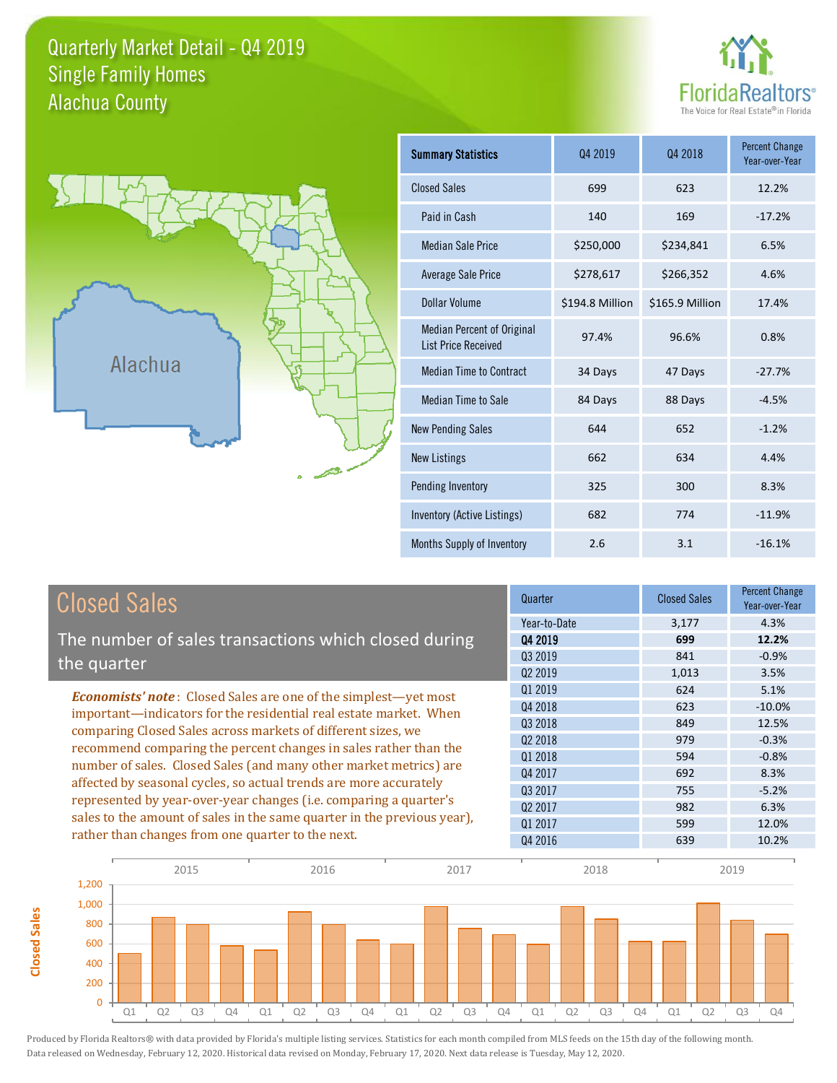### Quarterly Market Detail - Q4 2019 Alachua County Single Family Homes





**Closed Sales**

**Closed Sales** 

| <b>Summary Statistics</b>                                       | Q4 2019         | Q4 2018         | <b>Percent Change</b><br>Year-over-Year |
|-----------------------------------------------------------------|-----------------|-----------------|-----------------------------------------|
| <b>Closed Sales</b>                                             | 699             | 623             | 12.2%                                   |
| Paid in Cash                                                    | 140             | 169             | $-17.2%$                                |
| <b>Median Sale Price</b>                                        | \$250,000       | \$234,841       | 6.5%                                    |
| <b>Average Sale Price</b>                                       | \$278,617       | \$266,352       | 4.6%                                    |
| Dollar Volume                                                   | \$194.8 Million | \$165.9 Million | 17.4%                                   |
| <b>Median Percent of Original</b><br><b>List Price Received</b> | 97.4%           | 96.6%           | 0.8%                                    |
| <b>Median Time to Contract</b>                                  | 34 Days         | 47 Days         | $-27.7%$                                |
| <b>Median Time to Sale</b>                                      | 84 Days         | 88 Days         | $-4.5%$                                 |
| <b>New Pending Sales</b>                                        | 644             | 652             | $-1.2%$                                 |
| <b>New Listings</b>                                             | 662             | 634             | 4.4%                                    |
| Pending Inventory                                               | 325             | 300             | 8.3%                                    |
| Inventory (Active Listings)                                     | 682             | 774             | $-11.9%$                                |
| Months Supply of Inventory                                      | 2.6             | 3.1             | $-16.1%$                                |

| <b>Closed Sales</b>                                                                                                                                                                                   | Quarter             | <b>Closed Sales</b> | <b>Percent Change</b><br>Year-over-Year |
|-------------------------------------------------------------------------------------------------------------------------------------------------------------------------------------------------------|---------------------|---------------------|-----------------------------------------|
|                                                                                                                                                                                                       | Year-to-Date        | 3,177               | 4.3%                                    |
| The number of sales transactions which closed during                                                                                                                                                  | 04 2019             | 699                 | 12.2%                                   |
| the quarter                                                                                                                                                                                           | Q3 2019             | 841                 | $-0.9%$                                 |
|                                                                                                                                                                                                       | Q <sub>2</sub> 2019 | 1,013               | 3.5%                                    |
| <b>Economists' note:</b> Closed Sales are one of the simplest-yet most                                                                                                                                | 01 2019             | 624                 | 5.1%                                    |
| important-indicators for the residential real estate market. When                                                                                                                                     | Q4 2018             | 623                 | $-10.0\%$                               |
| comparing Closed Sales across markets of different sizes, we<br>recommend comparing the percent changes in sales rather than the<br>number of sales. Closed Sales (and many other market metrics) are | 03 2018             | 849                 | 12.5%                                   |
|                                                                                                                                                                                                       | Q <sub>2</sub> 2018 | 979                 | $-0.3%$                                 |
|                                                                                                                                                                                                       | 01 2018             | 594                 | $-0.8%$                                 |
|                                                                                                                                                                                                       | Q4 2017             | 692                 | 8.3%                                    |
| affected by seasonal cycles, so actual trends are more accurately                                                                                                                                     | Q3 2017             | 755                 | $-5.2%$                                 |
| represented by year-over-year changes (i.e. comparing a quarter's                                                                                                                                     | Q <sub>2</sub> 2017 | 982                 | 6.3%                                    |
| sales to the amount of sales in the same quarter in the previous year),                                                                                                                               | 01 2017             | 599                 | 12.0%                                   |
| rather than changes from one quarter to the next.                                                                                                                                                     | Q4 2016             | 639                 | 10.2%                                   |

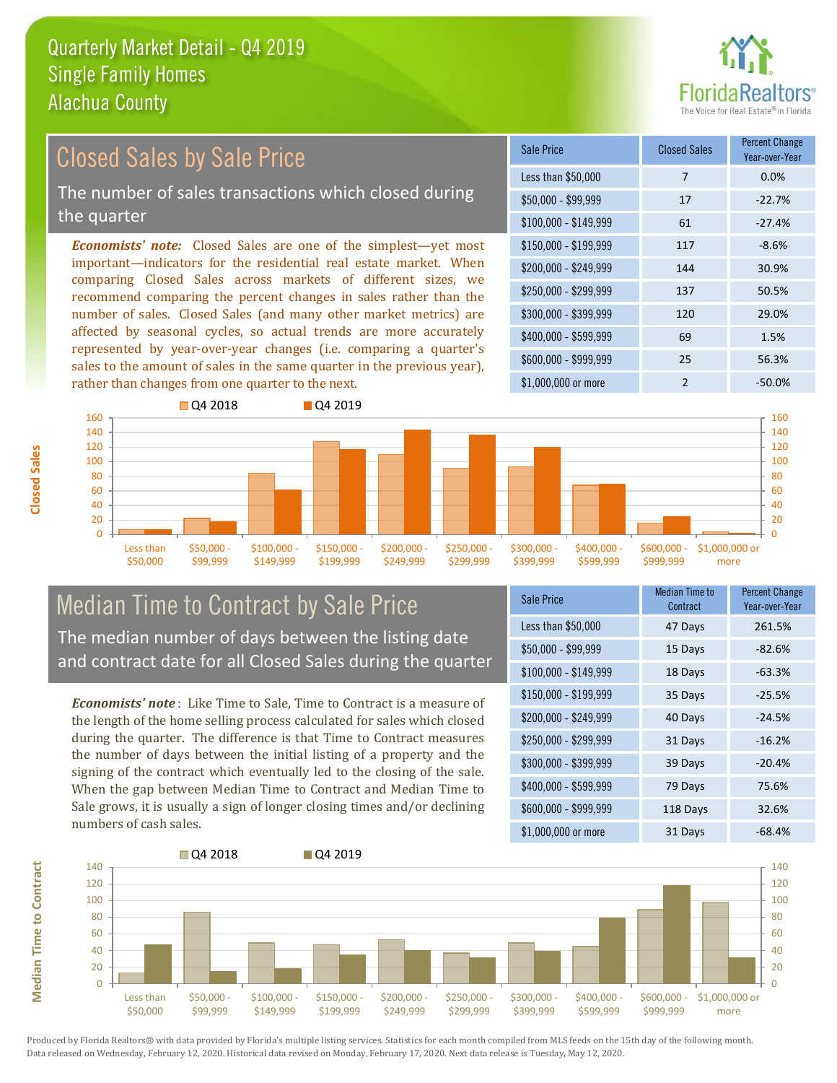

#### *Economists' note:* Closed Sales are one of the simplest—yet most important—indicators for the residential real estate market. When comparing Closed Sales across markets of different sizes, we recommend comparing the percent changes in sales rather than the number of sales. Closed Sales (and many other market metrics) are affected by seasonal cycles, so actual trends are more accurately represented by year-over-year changes (i.e. comparing a quarter's sales to the amount of sales in the same quarter in the previous year), rather than changes from one quarter to the next. \$1,000,000 or more 2 -50.0% \$250,000 - \$299,999 137 50.5% \$300,000 - \$399,999 120 29.0% \$400,000 - \$599,999 69 1.5% \$600,000 - \$999,999 25 56.3% \$150,000 - \$199,999 117 -8.6% \$200,000 - \$249,999 144 30.9%  $$100,000 - $149,999$  61 -27.4% Sale Price Closed Sales Percent Change Year-over-Year Less than \$50,000 7 7 0.0%  $$50.000 - $99.999$  17 -22.7% **O** 04 2018 **Q4 2019** Closed Sales by Sale Price The number of sales transactions which closed during the quarter



### Median Time to Contract by Sale Price The median number of days between the listing date and contract date for all Closed Sales during the quarter

*Economists' note* : Like Time to Sale, Time to Contract is a measure of the length of the home selling process calculated for sales which closed during the quarter. The difference is that Time to Contract measures the number of days between the initial listing of a property and the signing of the contract which eventually led to the closing of the sale. When the gap between Median Time to Contract and Median Time to Sale grows, it is usually a sign of longer closing times and/or declining numbers of cash sales.

| Sale Price            | Median Time to<br>Contract | <b>Percent Change</b><br>Year-over-Year |
|-----------------------|----------------------------|-----------------------------------------|
| Less than \$50,000    | 47 Days                    | 261.5%                                  |
| $$50,000 - $99,999$   | 15 Days                    | $-82.6%$                                |
| $$100,000 - $149,999$ | 18 Days                    | $-63.3%$                                |
| $$150,000 - $199,999$ | 35 Days                    | $-25.5%$                                |
| \$200,000 - \$249,999 | 40 Days                    | $-24.5%$                                |
| \$250,000 - \$299,999 | 31 Days                    | $-16.2%$                                |
| \$300,000 - \$399,999 | 39 Days                    | $-20.4%$                                |
| \$400,000 - \$599,999 | 79 Days                    | 75.6%                                   |
| \$600,000 - \$999,999 | 118 Days                   | 32.6%                                   |
| \$1,000,000 or more   | 31 Days                    | -68.4%                                  |



Produced by Florida Realtors® with data provided by Florida's multiple listing services. Statistics for each month compiled from MLS feeds on the 15th day of the following month. Data released on Wednesday, February 12, 2020. Historical data revised on Monday, February 17, 2020. Next data release is Tuesday, May 12, 2020.

**Median Time to Contract**

**Median Time to Contract**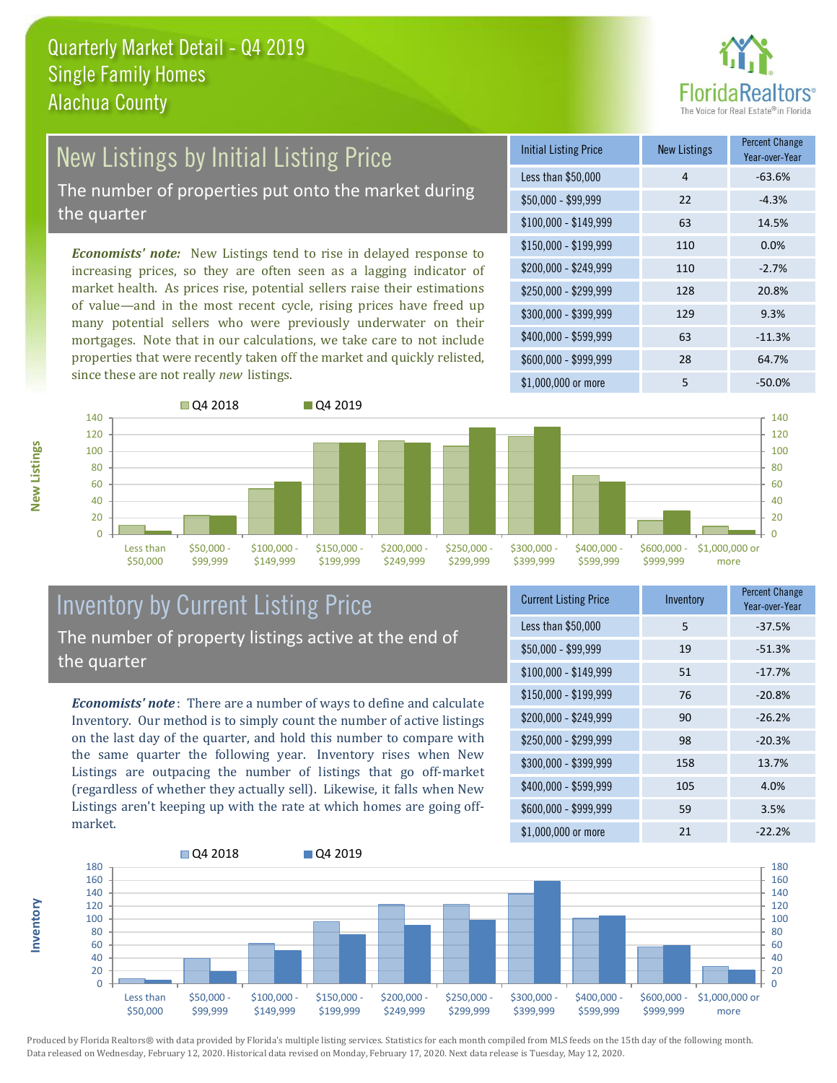

## New Listings by Initial Listing Price

The number of properties put onto the market during the quarter

*Economists' note:* New Listings tend to rise in delayed response to increasing prices, so they are often seen as a lagging indicator of market health. As prices rise, potential sellers raise their estimations of value—and in the most recent cycle, rising prices have freed up many potential sellers who were previously underwater on their mortgages. Note that in our calculations, we take care to not include properties that were recently taken off the market and quickly relisted, since these are not really *new* listings.





#### Inventory by Current Listing Price The number of property listings active at the end of the quarter

*Economists' note* : There are a number of ways to define and calculate Inventory. Our method is to simply count the number of active listings on the last day of the quarter, and hold this number to compare with the same quarter the following year. Inventory rises when New Listings are outpacing the number of listings that go off-market (regardless of whether they actually sell). Likewise, it falls when New Listings aren't keeping up with the rate at which homes are going offmarket.

| <b>Current Listing Price</b> | Inventory | <b>Percent Change</b><br>Year-over-Year |
|------------------------------|-----------|-----------------------------------------|
| Less than \$50,000           | 5         | $-37.5%$                                |
| $$50,000 - $99,999$          | 19        | $-51.3%$                                |
| $$100,000 - $149,999$        | 51        | $-17.7%$                                |
| $$150,000 - $199,999$        | 76        | $-20.8%$                                |
| \$200,000 - \$249,999        | 90        | $-26.2%$                                |
| \$250,000 - \$299,999        | 98        | $-20.3%$                                |
| \$300,000 - \$399,999        | 158       | 13.7%                                   |
| \$400,000 - \$599,999        | 105       | 4.0%                                    |
| \$600,000 - \$999,999        | 59        | 3.5%                                    |
| \$1,000,000 or more          | 21        | $-22.2%$                                |



Produced by Florida Realtors® with data provided by Florida's multiple listing services. Statistics for each month compiled from MLS feeds on the 15th day of the following month. Data released on Wednesday, February 12, 2020. Historical data revised on Monday, February 17, 2020. Next data release is Tuesday, May 12, 2020.

**Inventory**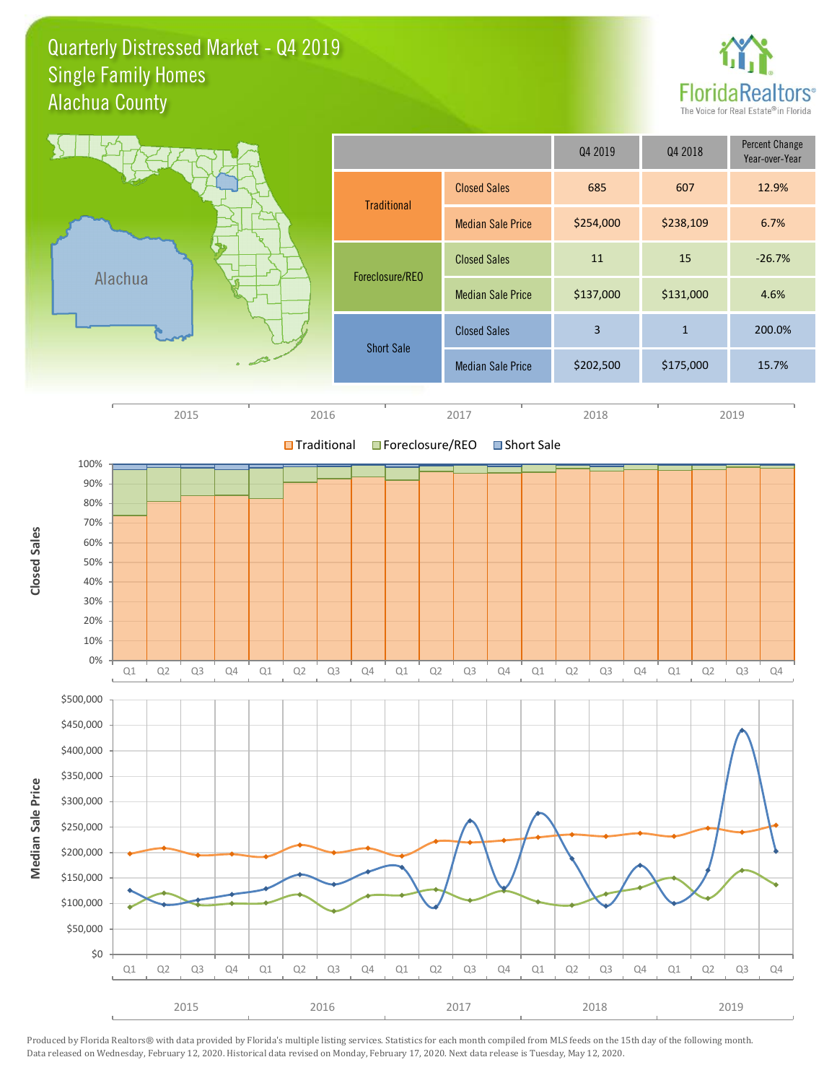Quarterly Distressed Market - Q4 2019 Alachua County Single Family Homes



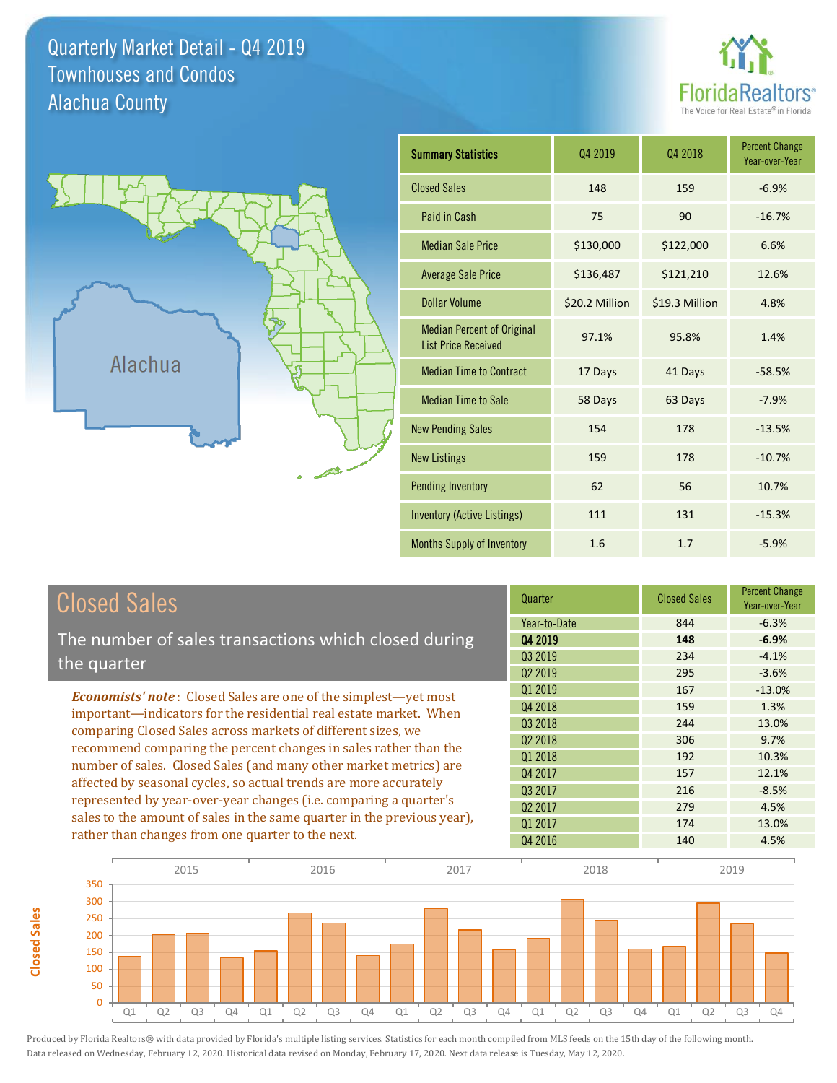Quarterly Market Detail - Q4 2019 Alachua County Townhouses and Condos





**Closed Sales**

**Closed Sales** 

| <b>Summary Statistics</b>                                       | 04 2019        | 04 2018        | <b>Percent Change</b><br>Year-over-Year |
|-----------------------------------------------------------------|----------------|----------------|-----------------------------------------|
| <b>Closed Sales</b>                                             | 148            | 159            | $-6.9%$                                 |
| Paid in Cash                                                    | 75             | 90             | $-16.7%$                                |
| <b>Median Sale Price</b>                                        | \$130,000      | \$122,000      | 6.6%                                    |
| <b>Average Sale Price</b>                                       | \$136,487      | \$121,210      | 12.6%                                   |
| <b>Dollar Volume</b>                                            | \$20.2 Million | \$19.3 Million | 4.8%                                    |
| <b>Median Percent of Original</b><br><b>List Price Received</b> | 97.1%          | 95.8%          | 1.4%                                    |
| <b>Median Time to Contract</b>                                  | 17 Days        | 41 Days        | $-58.5%$                                |
| <b>Median Time to Sale</b>                                      | 58 Days        | 63 Days        | $-7.9%$                                 |
| <b>New Pending Sales</b>                                        | 154            | 178            | $-13.5%$                                |
| <b>New Listings</b>                                             | 159            | 178            | $-10.7%$                                |
| Pending Inventory                                               | 62             | 56             | 10.7%                                   |
| <b>Inventory (Active Listings)</b>                              | 111            | 131            | $-15.3%$                                |
| Months Supply of Inventory                                      | 1.6            | 1.7            | $-5.9%$                                 |

| <b>Closed Sales</b>                                                                                                                                                                                   | Quarter             | <b>Closed Sales</b> | <b>Percent Change</b><br>Year-over-Year |
|-------------------------------------------------------------------------------------------------------------------------------------------------------------------------------------------------------|---------------------|---------------------|-----------------------------------------|
|                                                                                                                                                                                                       | Year-to-Date        | 844                 | $-6.3%$                                 |
| The number of sales transactions which closed during                                                                                                                                                  | Q4 2019             | 148                 | $-6.9%$                                 |
| the quarter                                                                                                                                                                                           | Q3 2019             | 234                 | $-4.1%$                                 |
|                                                                                                                                                                                                       | 02 2019             | 295                 | $-3.6%$                                 |
| <b>Economists' note:</b> Closed Sales are one of the simplest—yet most                                                                                                                                | Q1 2019             | 167                 | $-13.0%$                                |
| important—indicators for the residential real estate market. When                                                                                                                                     | Q4 2018             | 159                 | 1.3%                                    |
| comparing Closed Sales across markets of different sizes, we<br>recommend comparing the percent changes in sales rather than the<br>number of sales. Closed Sales (and many other market metrics) are | Q3 2018             | 244                 | 13.0%                                   |
|                                                                                                                                                                                                       | Q <sub>2</sub> 2018 | 306                 | 9.7%                                    |
|                                                                                                                                                                                                       | 01 2018             | 192                 | 10.3%                                   |
|                                                                                                                                                                                                       | Q4 2017             | 157                 | 12.1%                                   |
| affected by seasonal cycles, so actual trends are more accurately                                                                                                                                     | 03 2017             | 216                 | $-8.5%$                                 |
| represented by year-over-year changes (i.e. comparing a quarter's                                                                                                                                     | Q <sub>2</sub> 2017 | 279                 | 4.5%                                    |
| sales to the amount of sales in the same quarter in the previous year),                                                                                                                               | Q1 2017             | 174                 | 13.0%                                   |
| rather than changes from one quarter to the next.                                                                                                                                                     | Q4 2016             | 140                 | 4.5%                                    |

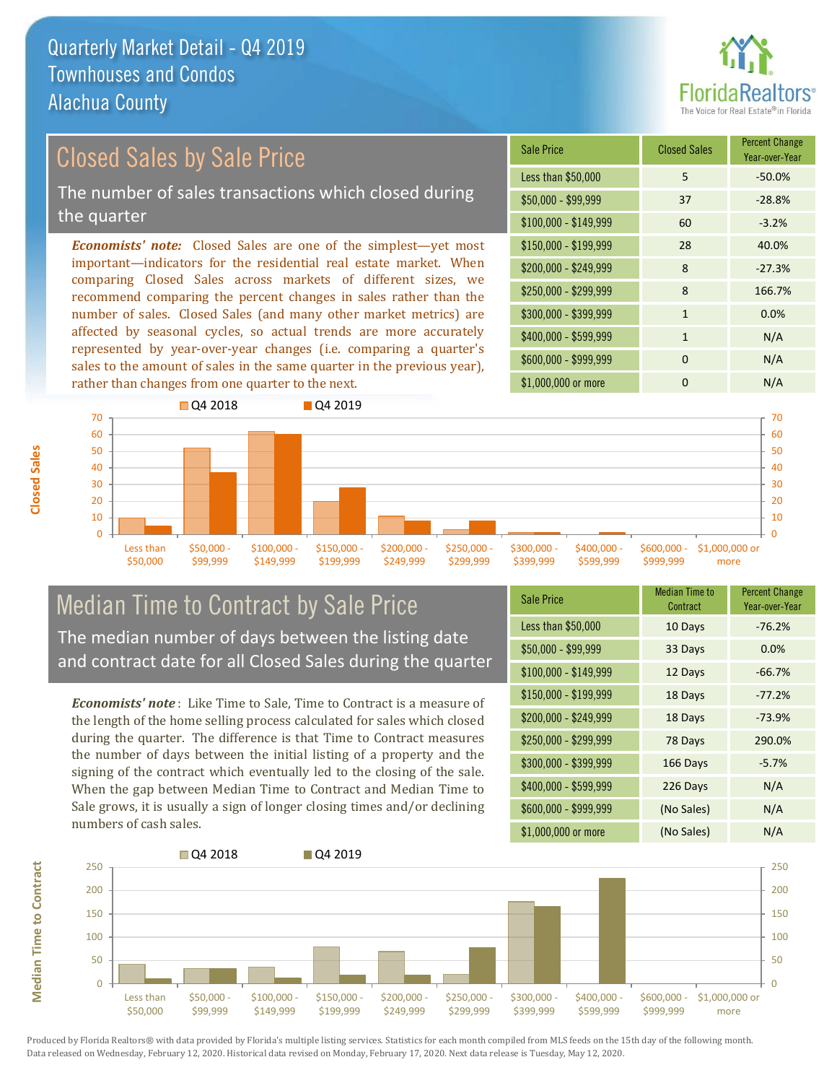

# Closed Sales by Sale Price

The number of sales transactions which closed during the quarter

*Economists' note:* Closed Sales are one of the simplest—yet most important—indicators for the residential real estate market. When comparing Closed Sales across markets of different sizes, we recommend comparing the percent changes in sales rather than the number of sales. Closed Sales (and many other market metrics) are affected by seasonal cycles, so actual trends are more accurately represented by year-over-year changes (i.e. comparing a quarter's sales to the amount of sales in the same quarter in the previous year), rather than changes from one quarter to the next.

| <b>Sale Price</b>     | <b>Closed Sales</b> | <b>Percent Change</b><br>Year-over-Year |
|-----------------------|---------------------|-----------------------------------------|
| Less than \$50,000    | 5                   | $-50.0%$                                |
| $$50,000 - $99,999$   | 37                  | $-28.8%$                                |
| $$100,000 - $149,999$ | 60                  | $-3.2%$                                 |
| $$150,000 - $199,999$ | 28                  | 40.0%                                   |
| \$200,000 - \$249,999 | 8                   | $-27.3%$                                |
| \$250,000 - \$299,999 | 8                   | 166.7%                                  |
| \$300,000 - \$399,999 | $\mathbf{1}$        | 0.0%                                    |
| \$400,000 - \$599,999 | $\mathbf{1}$        | N/A                                     |
| \$600,000 - \$999,999 | $\Omega$            | N/A                                     |
| \$1,000,000 or more   | n                   | N/A                                     |



#### Median Time to Contract by Sale Price The median number of days between the listing date and contract date for all Closed Sales during the quarter

*Economists' note* : Like Time to Sale, Time to Contract is a measure of the length of the home selling process calculated for sales which closed during the quarter. The difference is that Time to Contract measures the number of days between the initial listing of a property and the signing of the contract which eventually led to the closing of the sale. When the gap between Median Time to Contract and Median Time to Sale grows, it is usually a sign of longer closing times and/or declining numbers of cash sales.

| <b>Sale Price</b>     | Median Time to<br>Contract | <b>Percent Change</b><br>Year-over-Year |
|-----------------------|----------------------------|-----------------------------------------|
| Less than \$50,000    | 10 Days                    | $-76.2%$                                |
| $$50,000 - $99,999$   | 33 Days                    | 0.0%                                    |
| $$100,000 - $149,999$ | 12 Days                    | $-66.7%$                                |
| $$150,000 - $199,999$ | 18 Days                    | $-77.2%$                                |
| \$200,000 - \$249,999 | 18 Days                    | $-73.9%$                                |
| \$250,000 - \$299,999 | 78 Days                    | 290.0%                                  |
| \$300,000 - \$399,999 | 166 Days                   | $-5.7%$                                 |
| \$400,000 - \$599,999 | 226 Days                   | N/A                                     |
| \$600,000 - \$999,999 | (No Sales)                 | N/A                                     |
| \$1,000,000 or more   | (No Sales)                 | N/A                                     |



**Closed Sales**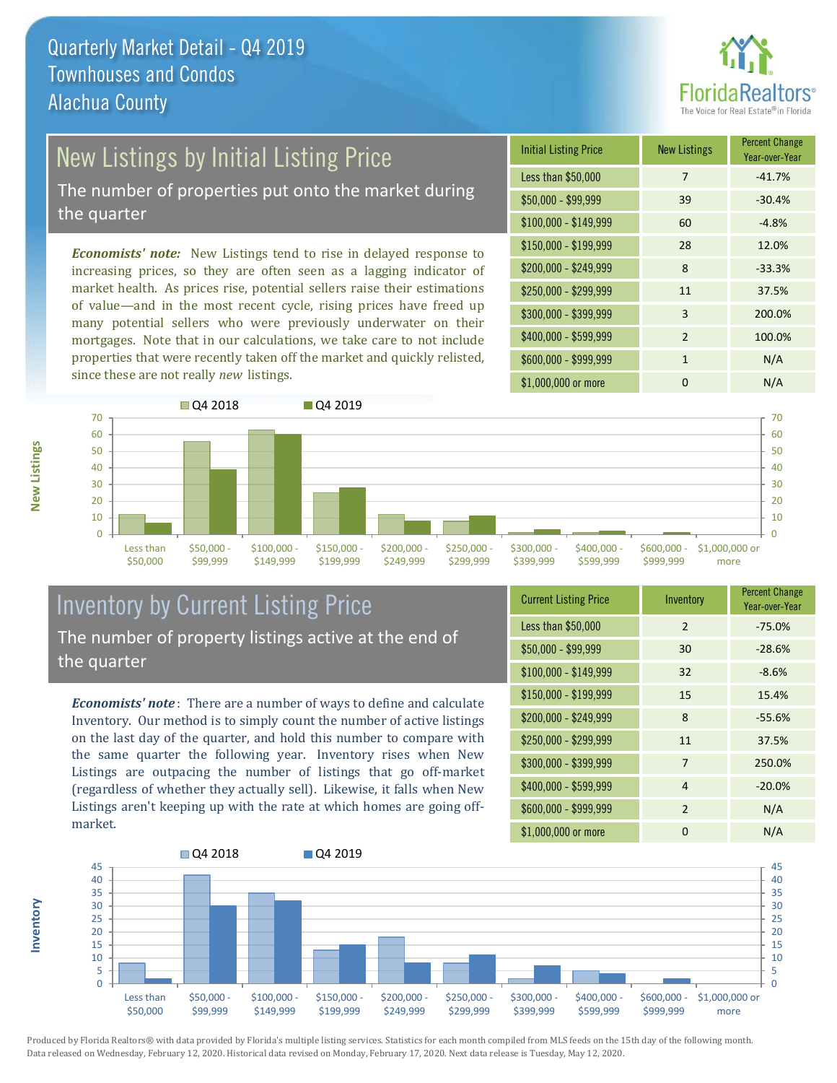

### New Listings by Initial Listing Price

The number of properties put onto the market during the quarter

*Economists' note:* New Listings tend to rise in delayed response to increasing prices, so they are often seen as a lagging indicator of market health. As prices rise, potential sellers raise their estimations of value—and in the most recent cycle, rising prices have freed up many potential sellers who were previously underwater on their mortgages. Note that in our calculations, we take care to not include properties that were recently taken off the market and quickly relisted, since these are not really *new* listings.

| <b>Initial Listing Price</b> | <b>New Listings</b> | <b>Percent Change</b><br>Year-over-Year |
|------------------------------|---------------------|-----------------------------------------|
| Less than \$50,000           | 7                   | $-41.7%$                                |
| $$50,000 - $99,999$          | 39                  | $-30.4%$                                |
| $$100,000 - $149,999$        | 60                  | $-4.8%$                                 |
| $$150,000 - $199,999$        | 28                  | 12.0%                                   |
| \$200,000 - \$249,999        | 8                   | $-33.3%$                                |
| \$250,000 - \$299,999        | 11                  | 37.5%                                   |
| \$300,000 - \$399,999        | 3                   | 200.0%                                  |
| \$400,000 - \$599,999        | $\mathcal{P}$       | 100.0%                                  |
| \$600,000 - \$999,999        | 1                   | N/A                                     |
| \$1,000,000 or more          | n                   | N/A                                     |



#### Inventory by Current Listing Price The number of property listings active at the end of the quarter

*Economists' note* : There are a number of ways to define and calculate Inventory. Our method is to simply count the number of active listings on the last day of the quarter, and hold this number to compare with the same quarter the following year. Inventory rises when New Listings are outpacing the number of listings that go off-market (regardless of whether they actually sell). Likewise, it falls when New Listings aren't keeping up with the rate at which homes are going offmarket.

| <b>Current Listing Price</b> | Inventory      | <b>Percent Change</b><br>Year-over-Year |
|------------------------------|----------------|-----------------------------------------|
| Less than \$50,000           | $\mathfrak{D}$ | $-75.0%$                                |
| $$50,000 - $99,999$          | 30             | $-28.6%$                                |
| $$100,000 - $149,999$        | 32             | $-8.6%$                                 |
| $$150,000 - $199,999$        | 15             | 15.4%                                   |
| \$200,000 - \$249,999        | 8              | $-55.6%$                                |
| \$250,000 - \$299,999        | 11             | 37.5%                                   |
| \$300,000 - \$399,999        | 7              | 250.0%                                  |
| \$400,000 - \$599,999        | 4              | $-20.0%$                                |
| \$600,000 - \$999,999        | 2              | N/A                                     |
| \$1,000,000 or more          | 0              | N/A                                     |



Produced by Florida Realtors® with data provided by Florida's multiple listing services. Statistics for each month compiled from MLS feeds on the 15th day of the following month. Data released on Wednesday, February 12, 2020. Historical data revised on Monday, February 17, 2020. Next data release is Tuesday, May 12, 2020.

**Inventory**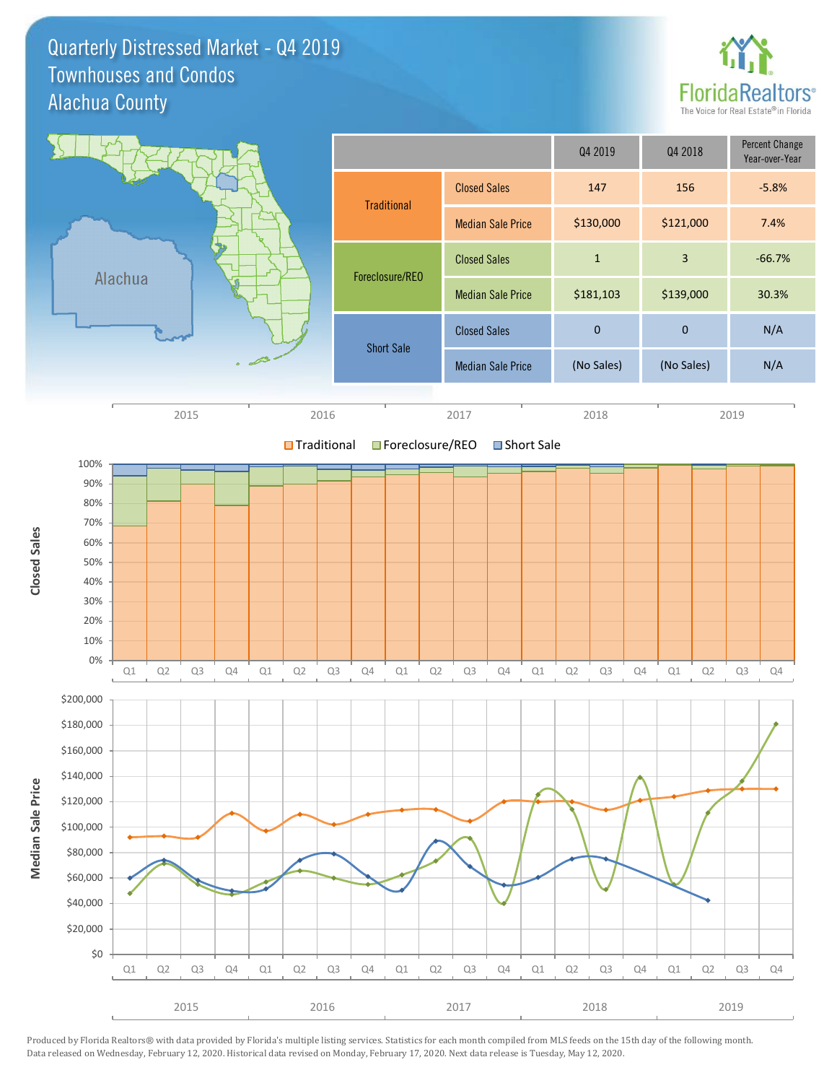Quarterly Distressed Market - Q4 2019 Alachua County Townhouses and Condos



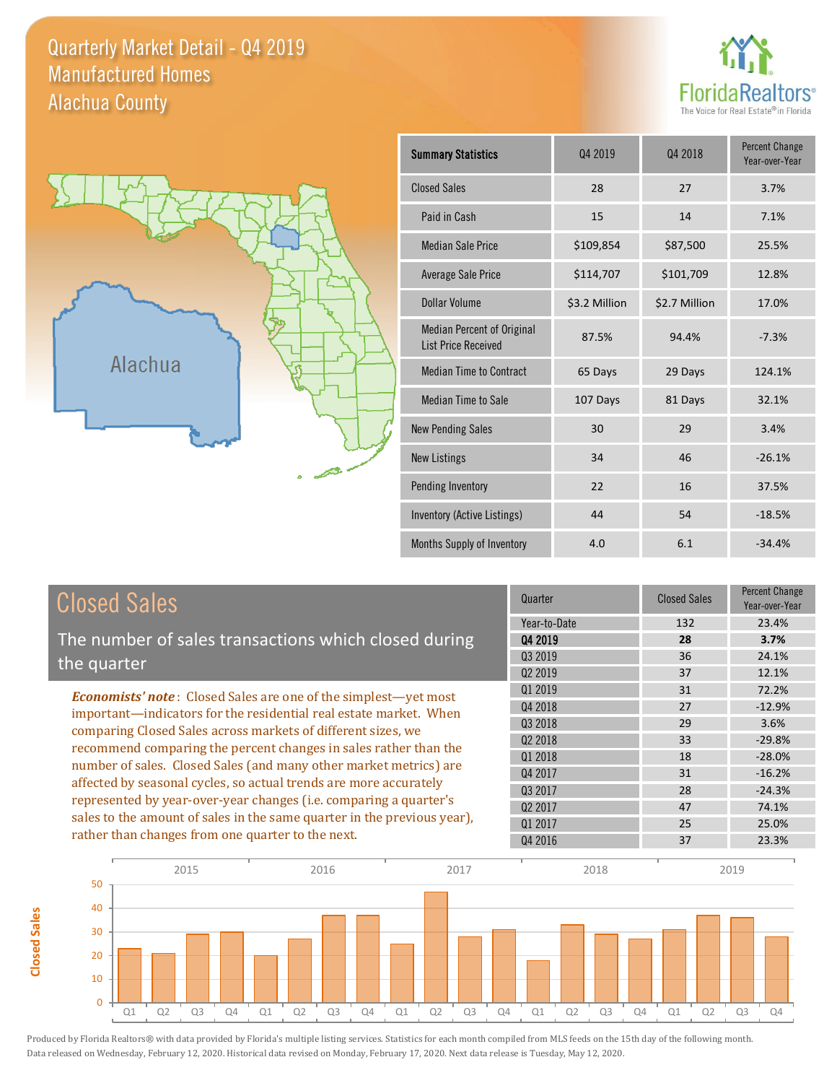#### Quarterly Market Detail - Q4 2019 Alachua County Manufactured Homes





**Closed Sales**

**Closed Sales** 

| <b>Summary Statistics</b>                                       | Q4 2019<br>Q4 2018 |               | <b>Percent Change</b><br>Year-over-Year |
|-----------------------------------------------------------------|--------------------|---------------|-----------------------------------------|
| <b>Closed Sales</b>                                             | 28                 | 27            | 3.7%                                    |
| Paid in Cash                                                    | 15                 | 14            | 7.1%                                    |
| <b>Median Sale Price</b>                                        | \$109,854          | \$87,500      | 25.5%                                   |
| Average Sale Price                                              | \$114,707          | \$101,709     | 12.8%                                   |
| Dollar Volume                                                   | \$3.2 Million      | \$2.7 Million | 17.0%                                   |
| <b>Median Percent of Original</b><br><b>List Price Received</b> | 87.5%              | 94.4%         | $-7.3%$                                 |
| <b>Median Time to Contract</b>                                  | 65 Days            | 29 Days       | 124.1%                                  |
| Median Time to Sale                                             | 107 Days           | 81 Days       | 32.1%                                   |
| <b>New Pending Sales</b>                                        | 30                 | 29            | 3.4%                                    |
| <b>New Listings</b>                                             | 34                 | 46            | $-26.1%$                                |
| Pending Inventory                                               | 22                 | 16            | 37.5%                                   |
| Inventory (Active Listings)                                     | 44                 | 54            | $-18.5%$                                |
| Months Supply of Inventory                                      | 4.0                | 6.1           | $-34.4%$                                |

| <b>Closed Sales</b>                                                                                                                                                                                                                                                        | Quarter             | <b>Closed Sales</b> | <b>Percent Change</b><br>Year-over-Year |
|----------------------------------------------------------------------------------------------------------------------------------------------------------------------------------------------------------------------------------------------------------------------------|---------------------|---------------------|-----------------------------------------|
|                                                                                                                                                                                                                                                                            | Year-to-Date        | 132                 | 23.4%                                   |
| The number of sales transactions which closed during                                                                                                                                                                                                                       | 04 2019             | 28                  | 3.7%                                    |
| the quarter                                                                                                                                                                                                                                                                | Q3 2019             | 36                  | 24.1%                                   |
|                                                                                                                                                                                                                                                                            | Q <sub>2</sub> 2019 | 37                  | 12.1%                                   |
| <b>Economists' note:</b> Closed Sales are one of the simplest—yet most                                                                                                                                                                                                     | Q1 2019             | 31                  | 72.2%                                   |
| important—indicators for the residential real estate market. When<br>comparing Closed Sales across markets of different sizes, we<br>recommend comparing the percent changes in sales rather than the<br>number of sales. Closed Sales (and many other market metrics) are | Q4 2018             | 27                  | $-12.9%$                                |
|                                                                                                                                                                                                                                                                            | 03 2018             | 29                  | 3.6%                                    |
|                                                                                                                                                                                                                                                                            | Q <sub>2</sub> 2018 | 33                  | $-29.8%$                                |
|                                                                                                                                                                                                                                                                            | Q1 2018             | 18                  | $-28.0%$                                |
|                                                                                                                                                                                                                                                                            | Q4 2017             | 31                  | $-16.2%$                                |
| affected by seasonal cycles, so actual trends are more accurately                                                                                                                                                                                                          | Q3 2017             | 28                  | $-24.3%$                                |
| represented by year-over-year changes (i.e. comparing a quarter's                                                                                                                                                                                                          | 02 2017             | 47                  | 74.1%                                   |
| sales to the amount of sales in the same quarter in the previous year),                                                                                                                                                                                                    | 01 2017             | 25                  | 25.0%                                   |
| rather than changes from one quarter to the next.                                                                                                                                                                                                                          | Q4 2016             | 37                  | 23.3%                                   |

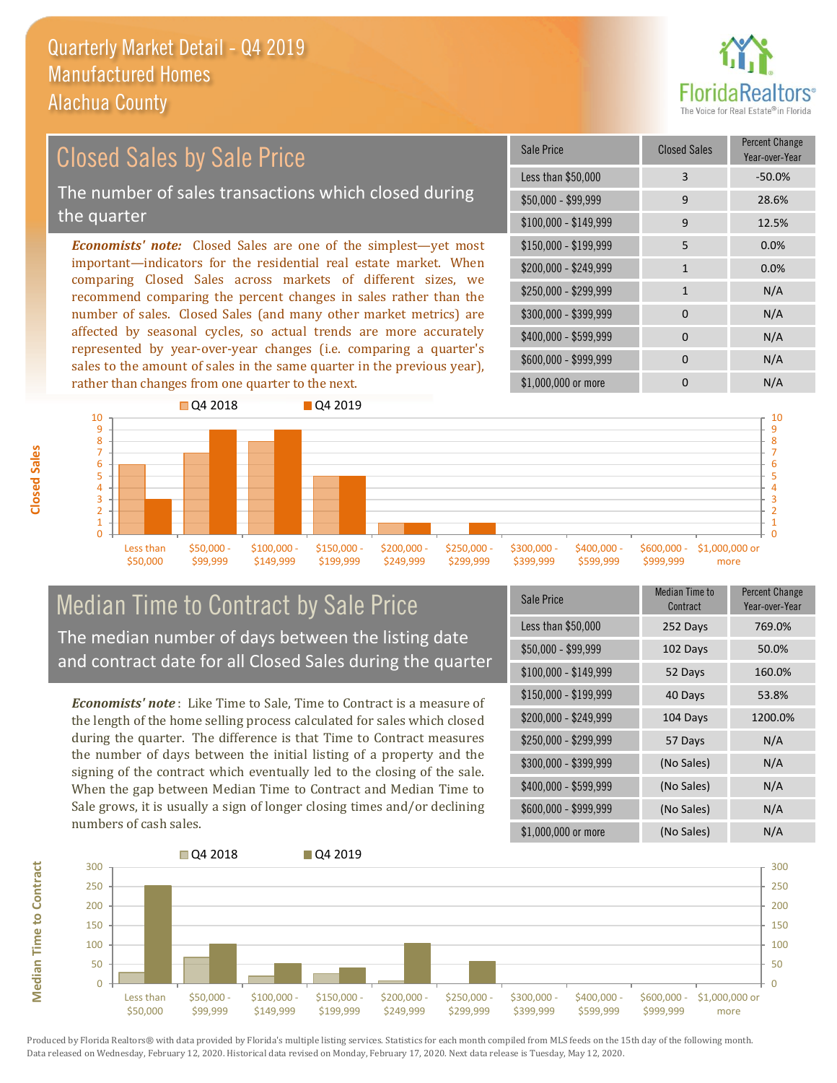

#### *Economists' note:* Closed Sales are one of the simplest—yet most important—indicators for the residential real estate market. When comparing Closed Sales across markets of different sizes, we recommend comparing the percent changes in sales rather than the number of sales. Closed Sales (and many other market metrics) are \$250,000 - \$299,999 1 1 N/A \$300,000 - \$399,999 0 0 N/A  $$400,000 - $599,999$  0 N/A \$150,000 - \$199,999 5 0.0% \$200,000 - \$249,999 1 0.0% \$100,000 - \$149,999 9 12.5% Sale Price Closed Sales Percent Change Year-over-Year Less than \$50,000 3 3 -50.0% \$50,000 - \$99,999 9 28.6% Closed Sales by Sale Price The number of sales transactions which closed during the quarter

affected by seasonal cycles, so actual trends are more accurately represented by year-over-year changes (i.e. comparing a quarter's sales to the amount of sales in the same quarter in the previous year), rather than changes from one quarter to the next.



\$299,999

\$399,999

\$599,999

\$249,999

### Median Time to Contract by Sale Price The median number of days between the listing date and contract date for all Closed Sales during the quarter

\$149,999

\$199,999

*Economists' note* : Like Time to Sale, Time to Contract is a measure of the length of the home selling process calculated for sales which closed during the quarter. The difference is that Time to Contract measures the number of days between the initial listing of a property and the signing of the contract which eventually led to the closing of the sale. When the gap between Median Time to Contract and Median Time to Sale grows, it is usually a sign of longer closing times and/or declining numbers of cash sales.

| <b>Sale Price</b>     | <b>Median Time to</b><br>Contract | <b>Percent Change</b><br>Year-over-Year |
|-----------------------|-----------------------------------|-----------------------------------------|
| Less than \$50,000    | 252 Days                          | 769.0%                                  |
| $$50,000 - $99,999$   | 102 Days                          | 50.0%                                   |
| $$100,000 - $149,999$ | 52 Days                           | 160.0%                                  |
| $$150,000 - $199,999$ | 40 Days                           | 53.8%                                   |
| \$200,000 - \$249,999 | 104 Days                          | 1200.0%                                 |
| \$250,000 - \$299,999 | 57 Days                           | N/A                                     |
| \$300,000 - \$399,999 | (No Sales)                        | N/A                                     |
| \$400,000 - \$599,999 | (No Sales)                        | N/A                                     |
| \$600,000 - \$999,999 | (No Sales)                        | N/A                                     |
| \$1,000,000 or more   | (No Sales)                        | N/A                                     |

\$999,999

more



**Closed Sales**

\$50,000

\$99,999

**Median Time to Contract**

**Median Time to Contract**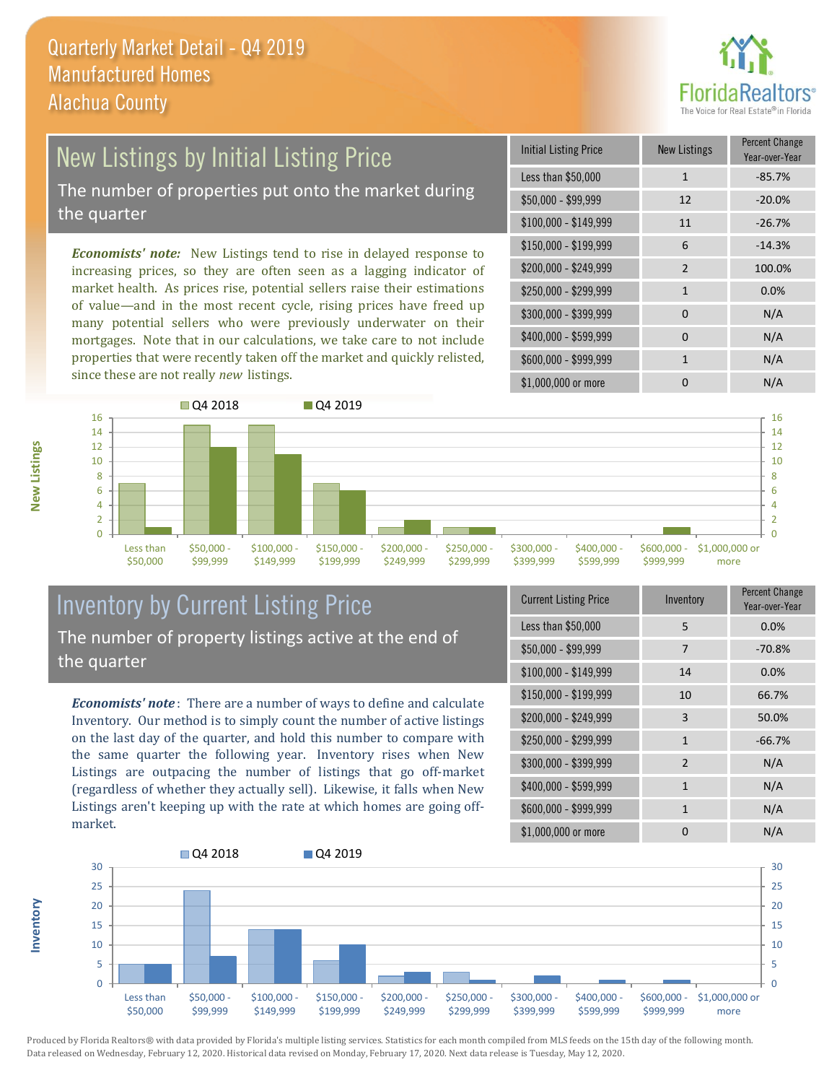

## New Listings by Initial Listing Price

The number of properties put onto the market during the quarter

*Economists' note:* New Listings tend to rise in delayed response to increasing prices, so they are often seen as a lagging indicator of market health. As prices rise, potential sellers raise their estimations of value—and in the most recent cycle, rising prices have freed up many potential sellers who were previously underwater on their mortgages. Note that in our calculations, we take care to not include properties that were recently taken off the market and quickly relisted, since these are not really *new* listings.

| Initial Listing Price | New Listings  | <b>Percent Change</b><br>Year-over-Year |
|-----------------------|---------------|-----------------------------------------|
| Less than \$50,000    | $\mathbf{1}$  | $-85.7%$                                |
| $$50,000 - $99,999$   | 12            | $-20.0%$                                |
| $$100,000 - $149,999$ | 11            | $-26.7%$                                |
| $$150,000 - $199,999$ | 6             | $-14.3%$                                |
| \$200,000 - \$249,999 | $\mathcal{P}$ | 100.0%                                  |
| \$250,000 - \$299,999 | $\mathbf{1}$  | 0.0%                                    |
| \$300,000 - \$399,999 | 0             | N/A                                     |
| \$400,000 - \$599,999 | $\Omega$      | N/A                                     |
| \$600,000 - \$999,999 | 1             | N/A                                     |
| \$1,000,000 or more   | n             | N/A                                     |



#### Inventory by Current Listing Price The number of property listings active at the end of the quarter

*Economists' note* : There are a number of ways to define and calculate Inventory. Our method is to simply count the number of active listings on the last day of the quarter, and hold this number to compare with the same quarter the following year. Inventory rises when New Listings are outpacing the number of listings that go off-market (regardless of whether they actually sell). Likewise, it falls when New Listings aren't keeping up with the rate at which homes are going offmarket.

| <b>Current Listing Price</b> | Inventory      | Percent Change<br>Year-over-Year |
|------------------------------|----------------|----------------------------------|
| Less than \$50,000           | 5              | 0.0%                             |
| $$50,000 - $99,999$          | 7              | $-70.8%$                         |
| $$100,000 - $149,999$        | 14             | 0.0%                             |
| $$150,000 - $199,999$        | 10             | 66.7%                            |
| \$200,000 - \$249,999        | 3              | 50.0%                            |
| \$250,000 - \$299,999        | $\mathbf{1}$   | $-66.7%$                         |
| \$300,000 - \$399,999        | $\overline{2}$ | N/A                              |
| \$400,000 - \$599,999        | $\mathbf{1}$   | N/A                              |
| \$600,000 - \$999,999        | 1              | N/A                              |
| \$1,000,000 or more          | O              | N/A                              |



Produced by Florida Realtors® with data provided by Florida's multiple listing services. Statistics for each month compiled from MLS feeds on the 15th day of the following month. Data released on Wednesday, February 12, 2020. Historical data revised on Monday, February 17, 2020. Next data release is Tuesday, May 12, 2020.

**Inventory**